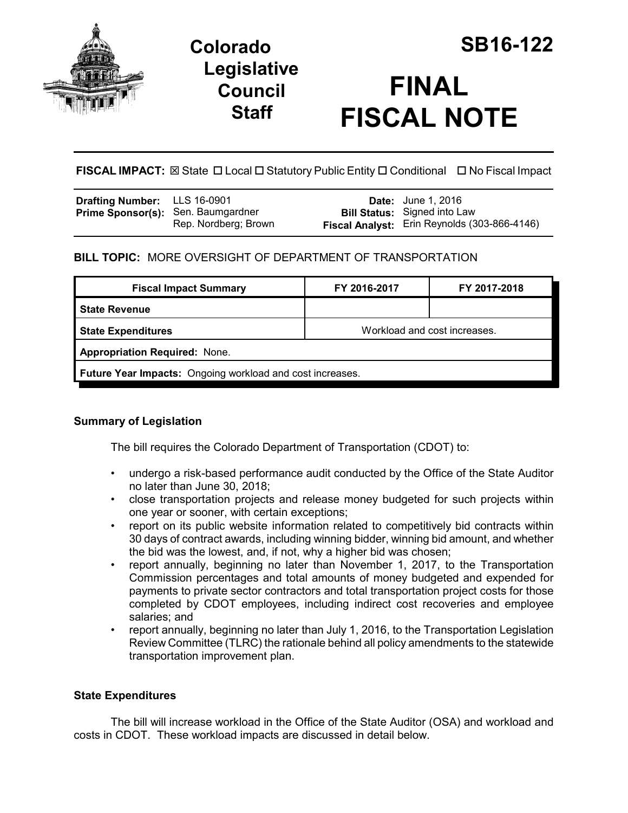

## **Legislative Council Staff**

# **FINAL FISCAL NOTE**

**FISCAL IMPACT:** ⊠ State □ Local □ Statutory Public Entity □ Conditional □ No Fiscal Impact

| <b>Drafting Number:</b> LLS 16-0901       |                      | <b>Date:</b> June 1, 2016                                                           |
|-------------------------------------------|----------------------|-------------------------------------------------------------------------------------|
| <b>Prime Sponsor(s):</b> Sen. Baumgardner | Rep. Nordberg; Brown | <b>Bill Status:</b> Signed into Law<br>Fiscal Analyst: Erin Reynolds (303-866-4146) |

## **BILL TOPIC:** MORE OVERSIGHT OF DEPARTMENT OF TRANSPORTATION

| <b>Fiscal Impact Summary</b>                              | FY 2016-2017                 | FY 2017-2018 |  |  |  |
|-----------------------------------------------------------|------------------------------|--------------|--|--|--|
| l State Revenue                                           |                              |              |  |  |  |
| <b>State Expenditures</b>                                 | Workload and cost increases. |              |  |  |  |
| <b>Appropriation Required: None.</b>                      |                              |              |  |  |  |
| Future Year Impacts: Ongoing workload and cost increases. |                              |              |  |  |  |

## **Summary of Legislation**

The bill requires the Colorado Department of Transportation (CDOT) to:

- undergo a risk-based performance audit conducted by the Office of the State Auditor no later than June 30, 2018;
- close transportation projects and release money budgeted for such projects within one year or sooner, with certain exceptions;
- report on its public website information related to competitively bid contracts within 30 days of contract awards, including winning bidder, winning bid amount, and whether the bid was the lowest, and, if not, why a higher bid was chosen;
- report annually, beginning no later than November 1, 2017, to the Transportation Commission percentages and total amounts of money budgeted and expended for payments to private sector contractors and total transportation project costs for those completed by CDOT employees, including indirect cost recoveries and employee salaries; and
- report annually, beginning no later than July 1, 2016, to the Transportation Legislation Review Committee (TLRC) the rationale behind all policy amendments to the statewide transportation improvement plan.

### **State Expenditures**

The bill will increase workload in the Office of the State Auditor (OSA) and workload and costs in CDOT. These workload impacts are discussed in detail below.